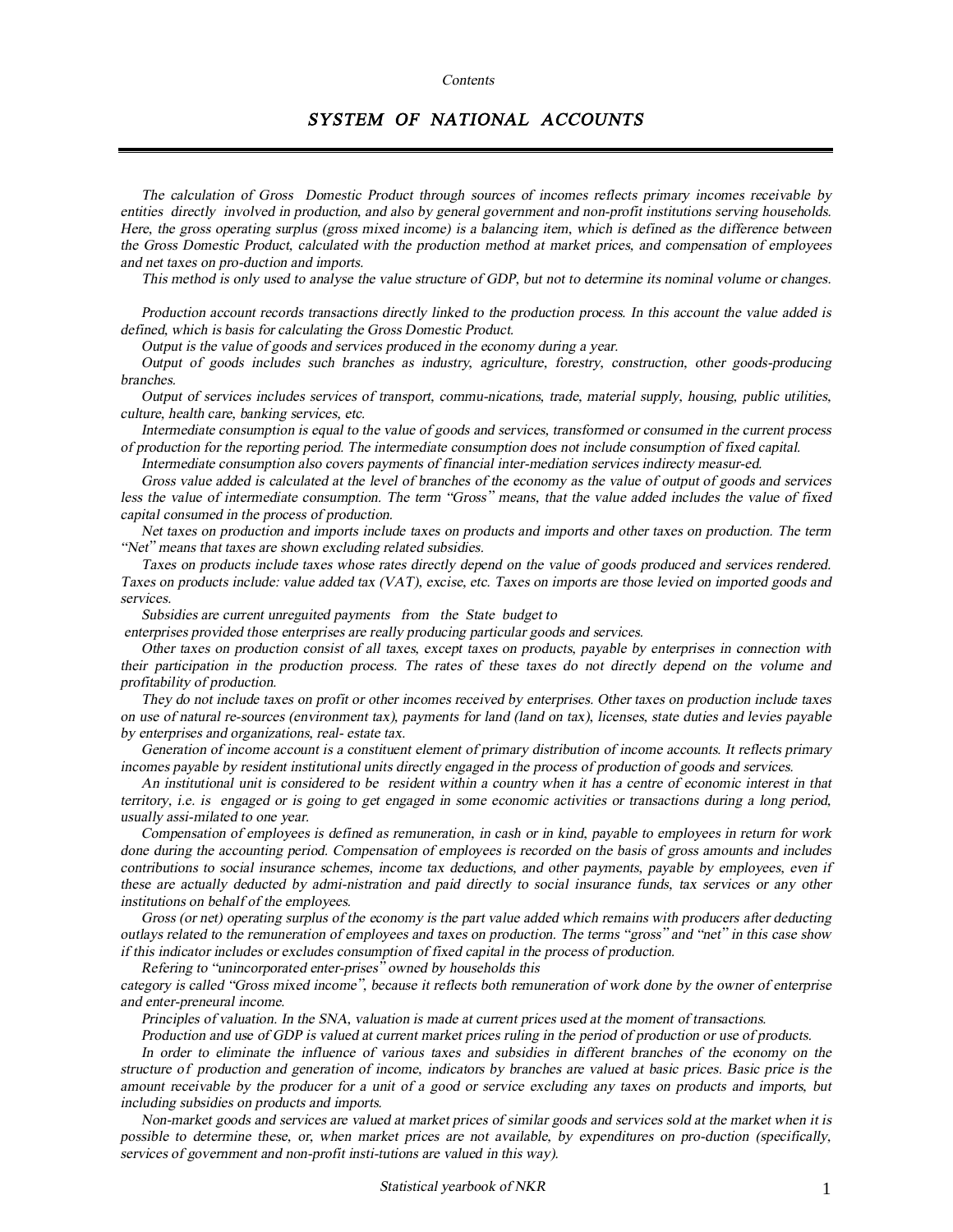#### *Contents*

## *SYSTEM OF NATIONAL ACCOUNTS*

*The calculation of Gross Domestic Product through sources of incomes reflects primary incomes receivable by entities directly involved in production, and also by general government and non-profit institutions serving households.*  Here, the gross operating surplus (gross mixed income) is a balancing item, which is defined as the difference between the Gross Domestic Product, calculated with the production method at market prices, and compensation of employees *and net taxes on pro-duction and imports.* 

This method is only used to analyse the value structure of GDP, but not to determine its nominal volume or changes.

Production account records transactions directly linked to the production process. In this account the value added is *defined, which is basis for calculating the Gross Domestic Product.* 

*Output is the value of goods and services produced in the economy during <sup>a</sup> year.* 

*Output of goods includes such branches as industry, agriculture, forestry, construction, other goods-producing branches.* 

*Output of services includes services of transport, commu-nications, trade, material supply, housing, public utilities, culture, health care, banking services, etc.* 

Intermediate consumption is equal to the value of goods and services, transformed or consumed in the current process of production for the reporting period. The intermediate consumption does not include consumption of fixed capital.

*Intermediate consumption also covers payments of financial inter-mediation services indirecty measur-ed.* 

Gross value added is calculated at the level of branches of the economy as the value of output of goods and services less the value of intermediate consumption. The term "Gross" means, that the value added includes the value of fixed *capital consumed in the process of production.* 

Net taxes on production and imports include taxes on products and imports and other taxes on production. The term *"Net" means that taxes are shown excluding related subsidies.* 

Taxes on products include taxes whose rates directly depend on the value of goods produced and services rendered. Taxes on products include: value added tax (VAT), excise, etc. Taxes on imports are those levied on imported goods and *services.* 

*Subsidies are current unreguited payments from the State budget to* 

*enterprises provided those enterprises are really producing particular goods and services.* 

Other taxes on production consist of all taxes, except taxes on products, payable by enterprises in connection with their participation in the production process. The rates of these taxes do not directly depend on the volume and *profitability of production.* 

They do not include taxes on profit or other incomes received by enterprises. Other taxes on production include taxes on use of natural re-sources (environment tax), payments for land (land on tax), licenses, state duties and levies payable *by enterprises and organizations, real- estate tax.* 

Generation of income account is a constituent element of primary distribution of income accounts. It reflects primary incomes payable by resident institutional units directly engaged in the process of production of goods and services.

An institutional unit is considered to be resident within a country when it has a centre of economic interest in that territory, i.e. is engaged or is going to get engaged in some economic activities or transactions during a long period, *usually assi-milated to one year.* 

Compensation of employees is defined as remuneration, in cash or in kind, payable to employees in return for work done during the accounting period. Compensation of employees is recorded on the basis of gross amounts and includes contributions to social insurance schemes, income tax deductions, and other payments, payable by employees, even if these are actually deducted by admi-nistration and paid directly to social insurance funds, tax services or any other *institutions on behalf of the employees.* 

Gross (or net) operating surplus of the economy is the part value added which remains with producers after deducting outlays related to the remuneration of employees and taxes on production. The terms "gross" and "net" in this case show *if this indicator includes or excludes consumption of fixed capital in the process of production.* 

*Refering to "unincorporated enter-prises" owned by households this* 

category is called "Gross mixed income", because it reflects both remuneration of work done by the owner of enterprise *and enter-preneural income.* 

Principles of valuation. In the SNA, valuation is made at current prices used at the moment of transactions.

Production and use of GDP is valued at current market prices ruling in the period of production or use of products.

In order to eliminate the influence of various taxes and subsidies in different branches of the economy on the structure of production and generation of income, indicators by branches are valued at basic prices. Basic price is the amount receivable by the producer for a unit of a good or service excluding any taxes on products and imports, but *including subsidies on products and imports.* 

Non-market goods and services are valued at market prices of similar goods and services sold at the market when it is possible to determine these, or, when market prices are not available, by expenditures on pro-duction (specifically, *services of government and non-profit insti-tutions are valued in this way).*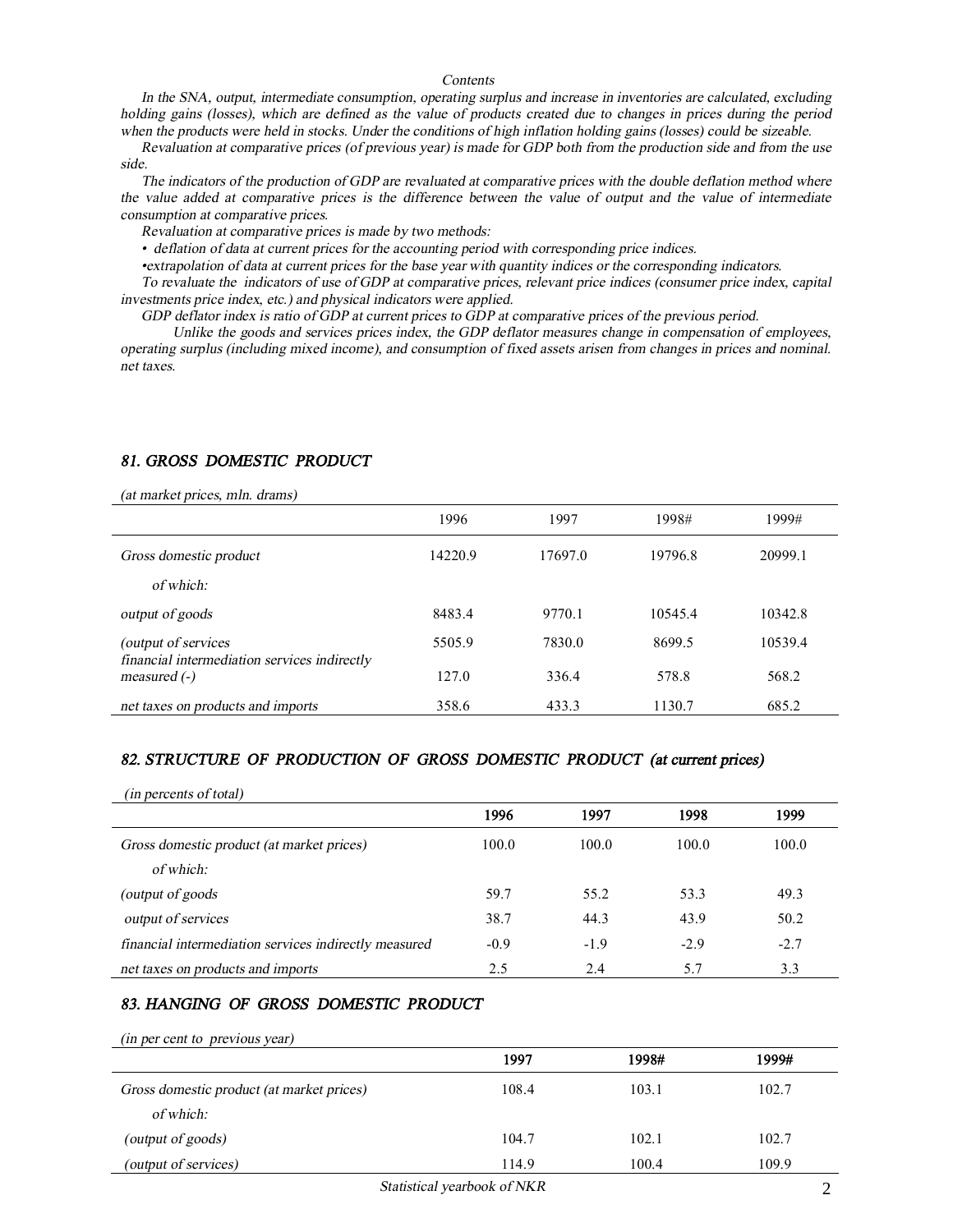#### *Contents*

*In the SNA, output, intermediate consumption, operating surplus and increase in inventories are calculated, excluding*  holding gains (losses), which are defined as the value of products created due to changes in prices during the period when the products were held in stocks. Under the conditions of high inflation holding gains (losses) could be sizeable.

Revaluation at comparative prices (of previous year) is made for GDP both from the production side and from the use *side.* 

The indicators of the production of GDP are revaluated at comparative prices with the double deflation method where the value added at comparative prices is the difference between the value of output and the value of intermediate *consumption at comparative prices.* 

*Revaluation at comparative prices is made by two methods:* 

*• deflation of data at current prices for the accounting period with corresponding price indices.* 

•extrapolation of data at current prices for the base year with quantity indices or the corresponding indicators.

To revaluate the indicators of use of GDP at comparative prices, relevant price indices (consumer price index, capital *investments price index, etc.) and physical indicators were applied.* 

GDP deflator index is ratio of GDP at current prices to GDP at comparative prices of the previous period.

*Unlike the goods and services prices index, the GDP deflator measures change in compensation of employees,*  operating surplus (including mixed income), and consumption of fixed assets arisen from changes in prices and nominal. *net taxes.*

## *81. GROSS DOMESTIC PRODUCT*

*(at market prices, mln. drams)*

| (ас татьсе риссь, пип. спать)                                  | 1996    | 1997    | 1998#   | 1999#   |
|----------------------------------------------------------------|---------|---------|---------|---------|
| Gross domestic product                                         | 14220.9 | 17697.0 | 19796.8 | 20999.1 |
| of which:                                                      |         |         |         |         |
| output of goods                                                | 8483.4  | 9770.1  | 10545.4 | 10342.8 |
| (output of services)                                           | 5505.9  | 7830.0  | 8699.5  | 10539.4 |
| financial intermediation services indirectly<br>measured $(-)$ | 127.0   | 336.4   | 578.8   | 568.2   |
| net taxes on products and imports                              | 358.6   | 433.3   | 1130.7  | 685.2   |

### *82. STRUCTURE OF PRODUCTION OF GROSS DOMESTIC PRODUCT (at current prices)*

| (in percents of total)                                |        |        |        |        |
|-------------------------------------------------------|--------|--------|--------|--------|
|                                                       | 1996   | 1997   | 1998   | 1999   |
| Gross domestic product (at market prices)             | 100.0  | 100.0  | 100.0  | 100.0  |
| of which:                                             |        |        |        |        |
| (output of goods)                                     | 59.7   | 55.2   | 53.3   | 49.3   |
| output of services                                    | 38.7   | 44.3   | 43.9   | 50.2   |
| financial intermediation services indirectly measured | $-0.9$ | $-1.9$ | $-2.9$ | $-2.7$ |
| net taxes on products and imports                     | 2.5    | 2.4    | 5.7    | 3.3    |

### *83. HANGING OF GROSS DOMESTIC PRODUCT*

*(in per cent to previous year)*

|                                           | 1997  | 1998# | 1999# |
|-------------------------------------------|-------|-------|-------|
| Gross domestic product (at market prices) | 108.4 | 103.1 | 102.7 |
| of which:                                 |       |       |       |
| (output of goods)                         | 104.7 | 102.1 | 102.7 |
| (output of services)                      | 114.9 | 100.4 | 109.9 |